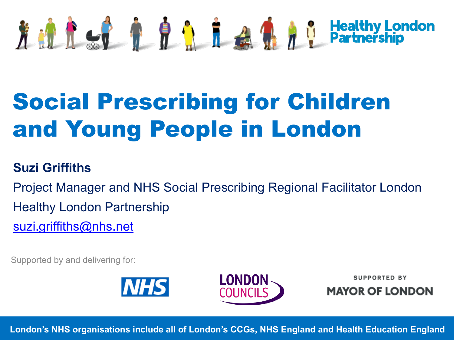# 方 d d d d d d d d d d d d Healthy

## Social Prescribing for Children and Young People in London

#### **Suzi Griffiths**

Project Manager and NHS Social Prescribing Regional Facilitator L Healthy London Partnership suzi.griffiths@nhs.net

Supported by and delivering for:





**SUPPORT** 

**MAYOR OF** 

**London's NHS organisations include all of London's CCGs, NHS England and Health Educ**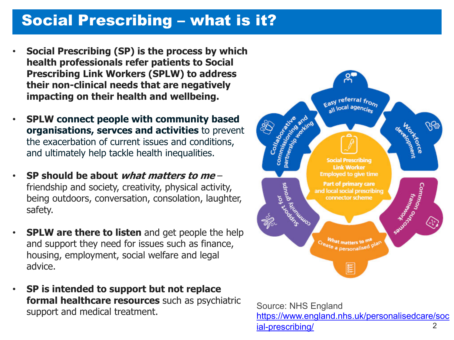## Social Prescribing – what is it?

- **Social Prescribing (SP) is the process by which health professionals refer patients to Social Prescribing Link Workers (SPLW) to address their non-clinical needs that are negatively impacting on their health and wellbeing.**
- **SPLW connect people with community based organisations, servces and activities** to prevent the exacerbation of current issues and conditions, and ultimately help tackle health inequalities.
- **SP should be about what matters to me**  friendship and society, creativity, physical activity, being outdoors, conversation, consolation, laughter, safety.
- **SPLW are there to listen** and get people the help and support they need for issues such as finance, housing, employment, social welfare and legal advice.
- **SP is intended to support but not replace formal healthcare resources** such as psychiatric support and medical treatment.



https://www.england.nhs.uk/perso ial-prescribing/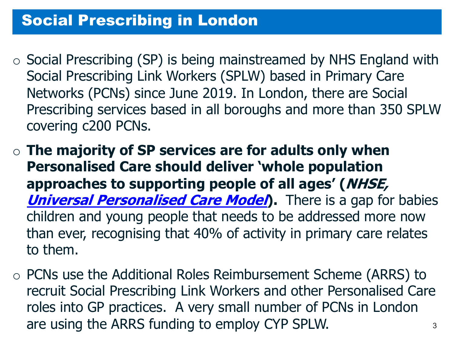### Social Prescribing in London

- $\circ$  Social Prescribing (SP) is being mainstreamed by NHS Engl Social Prescribing Link Workers (SPLW) based in Primary C Networks (PCNs) since June 2019. In London, there are Sc Prescribing services based in all boroughs and more than 3 covering c200 PCNs.
- o **The majority of SP services are for adults only when Personalised Care should deliver 'whole population approaches to supporting people of all ages' (NHSE, Universal Personalised Care Model**). There is a gap for children and young people that needs to be addressed more than ever, recognising that 40% of activity in primary care to them.
- $\circ$  PCNs use the Additional Roles Reimbursement Scheme (AR recruit Social Prescribing Link Workers and other Personalis roles into GP practices. A very small number of PCNs in Lo are using the ARRS funding to employ CYP SPLW.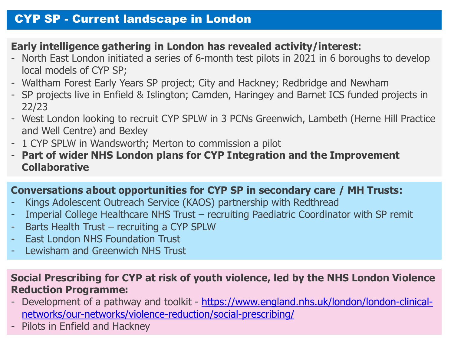#### CYP SP - Current landscape in London

#### **Early intelligence gathering in London has revealed activity/interest:**

- North East London initiated a series of 6-month test pilots in 2021 in 6 boroughs to local models of CYP SP;
- Waltham Forest Early Years SP project; City and Hackney; Redbridge and Newham
- SP projects live in Enfield & Islington; Camden, Haringey and Barnet ICS funded projects 22/23
- West London looking to recruit CYP SPLW in 3 PCNs Greenwich, Lambeth (Herne I and Well Centre) and Bexley
- 1 CYP SPLW in Wandsworth; Merton to commission a pilot
- **Part of wider NHS London plans for CYP Integration and the Improveme Collaborative**

#### **Conversations about opportunities for CYP SP in secondary care / MH Trusts:**

- Kings Adolescent Outreach Service (KAOS) partnership with Redthread
- Imperial College Healthcare NHS Trust recruiting Paediatric Coordinator with SP
- Barts Health Trust recruiting a CYP SPLW
- **East London NHS Foundation Trust**
- Lewisham and Greenwich NHS Trust

#### **Social Prescribing for CYP at risk of youth violence, led by the NHS London Reduction Programme:**

- Development of a pathway and toolkit https://www.england.nhs.uk/london/lond networks/our-networks/violence-reduction/social-prescribing/
- Pilots in Enfield and Hackney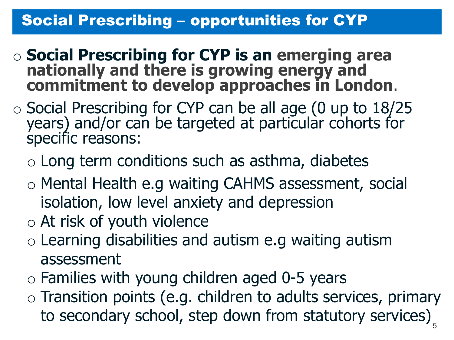## Social Prescribing – opportunities for CYP

- <sup>o</sup> **Social Prescribing for CYP is an emerging area nationally and there is growing energy and commitment to develop approaches in London**.
- o Social Prescribing for CYP can be all age (0 up to 18/25 years) and/or can be targeted at particular cohorts for specific reasons:
	- $\circ$  Long term conditions such as asthma, diabetes
	- o Mental Health e.g waiting CAHMS assessment, social isolation, low level anxiety and depression
	- o At risk of youth violence
	- $\circ$  Learning disabilities and autism e.g waiting autism assessment
	- $\circ$  Families with young children aged 0-5 years
	- $\circ$  Transition points (e.g. children to adults services, primary to secondary school, step down from statutory services)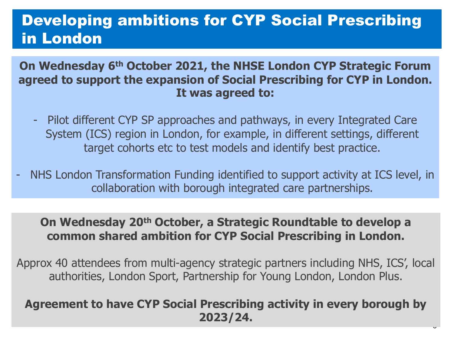## Developing ambitions for CYP Social Prescribing in London

**On Wednesday 6th October 2021, the NHSE London CYP Strategic Forum agreed to support the expansion of Social Prescribing for CYP in London. It was agreed to:**

- Pilot different CYP SP approaches and pathways, in every Integrated Care System (ICS) region in London, for example, in different settings, different target cohorts etc to test models and identify best practice.
- NHS London Transformation Funding identified to support activity at ICS level, in collaboration with borough integrated care partnerships.

#### **On Wednesday 20th October, a Strategic Roundtable to develop a common shared ambition for CYP Social Prescribing in London.**

Approx 40 attendees from multi-agency strategic partners including NHS, ICS', local authorities, London Sport, Partnership for Young London, London Plus.

#### **Agreement to have CYP Social Prescribing activity in every borough by 2023/24.**

 $\ddot{\phantom{0}}$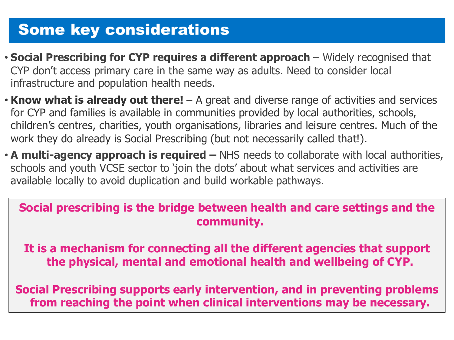## **Some key considerations**

- **Social Prescribing for CYP requires a different approach** Widely recognised that CYP don't access primary care in the same way as adults. Need to consider local infrastructure and population health needs.
- **Know what is already out there!**  A great and diverse range of activities and services for CYP and families is available in communities provided by local authorities, schools, children's centres, charities, youth organisations, libraries and leisure centres. Much of the work they do already is Social Prescribing (but not necessarily called that!).
- **A multi-agency approach is required –** NHS needs to collaborate with local authorities, schools and youth VCSE sector to 'join the dots' about what services and activities are available locally to avoid duplication and build workable pathways.

## **Social prescribing is the bridge between health and care settings and the community.**

**It is a mechanism for connecting all the different agencies that support the physical, mental and emotional health and wellbeing of CYP.** 

**Social Prescribing supports early intervention, and in preventing problems from reaching the point when clinical interventions may be necessary.**